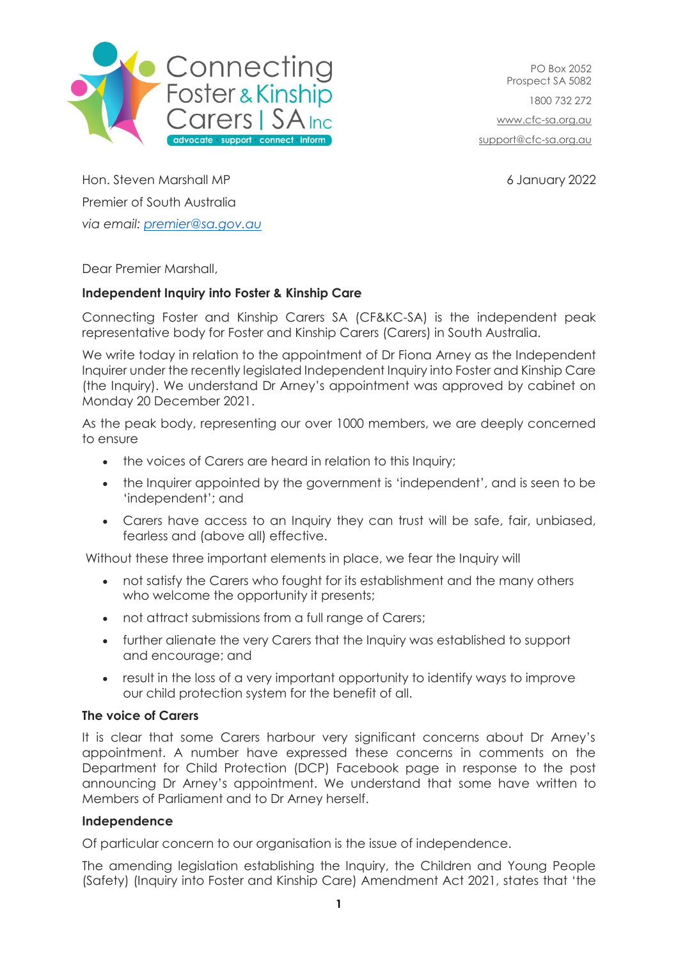

PO Box 2052 Prospect SA 5082 1800 732 272 [www.cfc-sa.org.au](http://www.cfc-sa.org.au/) [support@cfc-sa.org.au](mailto:support@cfc-sa.org.au)

Hon. Steven Marshall MP 6 January 2022 Premier of South Australia *via email: [premier@sa.gov.au](mailto:premier@sa.gov.au)*

Dear Premier Marshall,

## **Independent Inquiry into Foster & Kinship Care**

Connecting Foster and Kinship Carers SA (CF&KC-SA) is the independent peak representative body for Foster and Kinship Carers (Carers) in South Australia.

We write today in relation to the appointment of Dr Fiona Arney as the Independent Inquirer under the recently legislated Independent Inquiry into Foster and Kinship Care (the Inquiry). We understand Dr Arney's appointment was approved by cabinet on Monday 20 December 2021.

As the peak body, representing our over 1000 members, we are deeply concerned to ensure

- the voices of Carers are heard in relation to this Inquiry;
- the Inquirer appointed by the government is 'independent', and is seen to be 'independent'; and
- Carers have access to an Inquiry they can trust will be safe, fair, unbiased, fearless and (above all) effective.

Without these three important elements in place, we fear the Inquiry will

- not satisfy the Carers who fought for its establishment and the many others who welcome the opportunity it presents;
- not attract submissions from a full range of Carers;
- further alienate the very Carers that the Inquiry was established to support and encourage; and
- result in the loss of a very important opportunity to identify ways to improve our child protection system for the benefit of all.

## **The voice of Carers**

It is clear that some Carers harbour very significant concerns about Dr Arney's appointment. A number have expressed these concerns in comments on the Department for Child Protection (DCP) Facebook page in response to the post announcing Dr Arney's appointment. We understand that some have written to Members of Parliament and to Dr Arney herself.

## **Independence**

Of particular concern to our organisation is the issue of independence.

The amending legislation establishing the Inquiry, the Children and Young People (Safety) (Inquiry into Foster and Kinship Care) Amendment Act 2021, states that 'the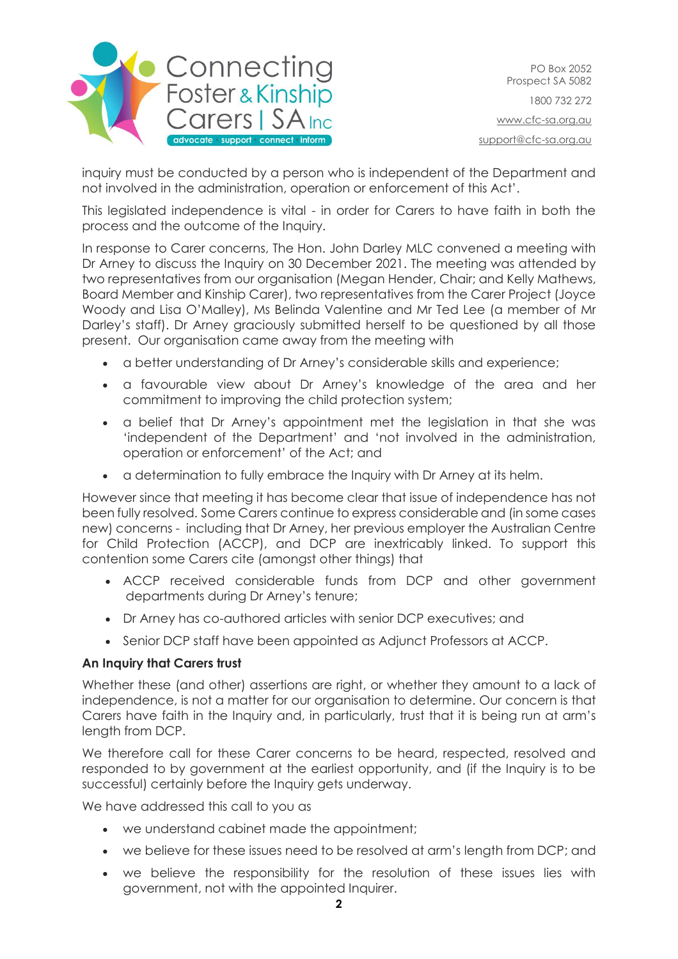

PO Box 2052 Prospect SA 5082 1800 732 272 [www.cfc-sa.org.au](http://www.cfc-sa.org.au/) [support@cfc-sa.org.au](mailto:support@cfc-sa.org.au)

inquiry must be conducted by a person who is independent of the Department and not involved in the administration, operation or enforcement of this Act'.

This legislated independence is vital - in order for Carers to have faith in both the process and the outcome of the Inquiry.

In response to Carer concerns, The Hon. John Darley MLC convened a meeting with Dr Arney to discuss the Inquiry on 30 December 2021. The meeting was attended by two representatives from our organisation (Megan Hender, Chair; and Kelly Mathews, Board Member and Kinship Carer), two representatives from the Carer Project (Joyce Woody and Lisa O'Malley), Ms Belinda Valentine and Mr Ted Lee (a member of Mr Darley's staff). Dr Arney graciously submitted herself to be questioned by all those present. Our organisation came away from the meeting with

- a better understanding of Dr Arney's considerable skills and experience;
- a favourable view about Dr Arney's knowledge of the area and her commitment to improving the child protection system;
- a belief that Dr Arney's appointment met the legislation in that she was 'independent of the Department' and 'not involved in the administration, operation or enforcement' of the Act; and
- a determination to fully embrace the Inquiry with Dr Arney at its helm.

However since that meeting it has become clear that issue of independence has not been fully resolved. Some Carers continue to express considerable and (in some cases new) concerns - including that Dr Arney, her previous employer the Australian Centre for Child Protection (ACCP), and DCP are inextricably linked. To support this contention some Carers cite (amongst other things) that

- ACCP received considerable funds from DCP and other government departments during Dr Arney's tenure;
- Dr Arney has co-authored articles with senior DCP executives; and
- Senior DCP staff have been appointed as Adjunct Professors at ACCP.

## **An Inquiry that Carers trust**

Whether these (and other) assertions are right, or whether they amount to a lack of independence, is not a matter for our organisation to determine. Our concern is that Carers have faith in the Inquiry and, in particularly, trust that it is being run at arm's length from DCP.

We therefore call for these Carer concerns to be heard, respected, resolved and responded to by government at the earliest opportunity, and (if the Inquiry is to be successful) certainly before the Inquiry gets underway.

We have addressed this call to you as

- we understand cabinet made the appointment;
- we believe for these issues need to be resolved at arm's length from DCP; and
- we believe the responsibility for the resolution of these issues lies with government, not with the appointed Inquirer.